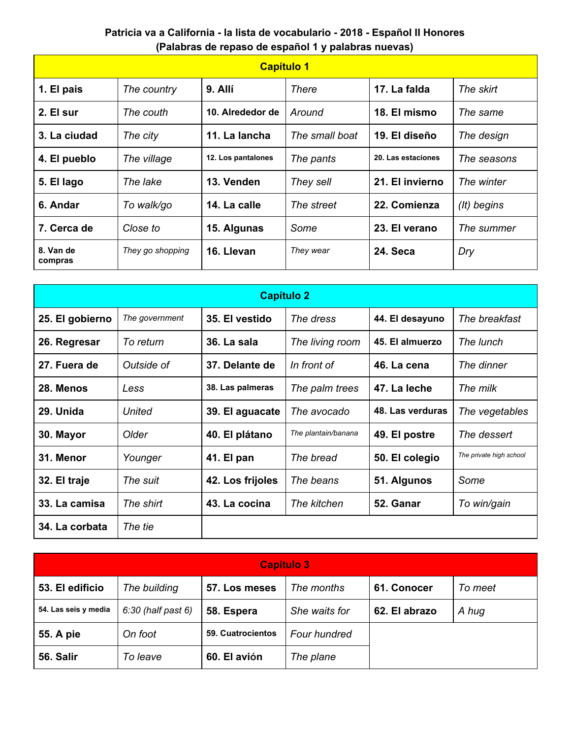## **Patricia va a California - la lista de vocabulario - 2018 - Español II Honores (Palabras de repaso de español 1 y palabras nuevas)**

| <b>Capítulo 1</b>    |                  |                    |                |                    |             |  |  |  |  |
|----------------------|------------------|--------------------|----------------|--------------------|-------------|--|--|--|--|
| 1. El pais           | The country      | 9. Allí            | There          | 17. La falda       | The skirt   |  |  |  |  |
| 2. El sur            | The couth        | 10. Alrededor de   | Around         | 18. El mismo       | The same    |  |  |  |  |
| 3. La ciudad         | The city         | 11. La lancha      | The small boat | 19. El diseño      | The design  |  |  |  |  |
| 4. El pueblo         | The village      | 12. Los pantalones | The pants      | 20. Las estaciones | The seasons |  |  |  |  |
| 5. El lago           | The lake         | 13. Venden         | They sell      | 21. El invierno    | The winter  |  |  |  |  |
| 6. Andar             | To walk/go       | 14. La calle       | The street     | 22. Comienza       | (It) begins |  |  |  |  |
| 7. Cerca de          | Close to         | 15. Algunas        | Some           | 23. El verano      | The summer  |  |  |  |  |
| 8. Van de<br>compras | They go shopping | 16. Llevan         | They wear      | 24. Seca           | Dry         |  |  |  |  |

| <b>Capítulo 2</b> |                |                  |                     |                  |                         |  |  |  |
|-------------------|----------------|------------------|---------------------|------------------|-------------------------|--|--|--|
| 25. El gobierno   | The government | 35. El vestido   | The dress           | 44. El desayuno  | The breakfast           |  |  |  |
| 26. Regresar      | To return      | 36. La sala      | The living room     | 45. El almuerzo  | The lunch               |  |  |  |
| 27. Fuera de      | Outside of     | 37. Delante de   | In front of         | 46. La cena      | The dinner              |  |  |  |
| 28. Menos         | Less           | 38. Las palmeras | The palm trees      | 47. La leche     | The milk                |  |  |  |
| 29. Unida         | United         | 39. El aguacate  | The avocado         | 48. Las verduras | The vegetables          |  |  |  |
| 30. Mayor         | Older          | 40. El plátano   | The plantain/banana | 49. El postre    | The dessert             |  |  |  |
| 31. Menor         | Younger        | 41. El pan       | The bread           | 50. El colegio   | The private high school |  |  |  |
| 32. El traje      | The suit       | 42. Los frijoles | The beans           | 51. Algunos      | Some                    |  |  |  |
| 33. La camisa     | The shirt      | 43. La cocina    | The kitchen         | 52. Ganar        | To win/gain             |  |  |  |
| 34. La corbata    | The tie        |                  |                     |                  |                         |  |  |  |

| <b>Capítulo 3</b>    |                    |                   |               |               |         |  |  |  |
|----------------------|--------------------|-------------------|---------------|---------------|---------|--|--|--|
| 53. El edificio      | The building       | 57. Los meses     | The months    | 61. Conocer   | To meet |  |  |  |
| 54. Las seis y media | 6:30 (half past 6) | 58. Espera        | She waits for | 62. El abrazo | A hug   |  |  |  |
| <b>55. A pie</b>     | On foot            | 59. Cuatrocientos | Four hundred  |               |         |  |  |  |
| 56. Salir            | To leave           | 60. El avión      | The plane     |               |         |  |  |  |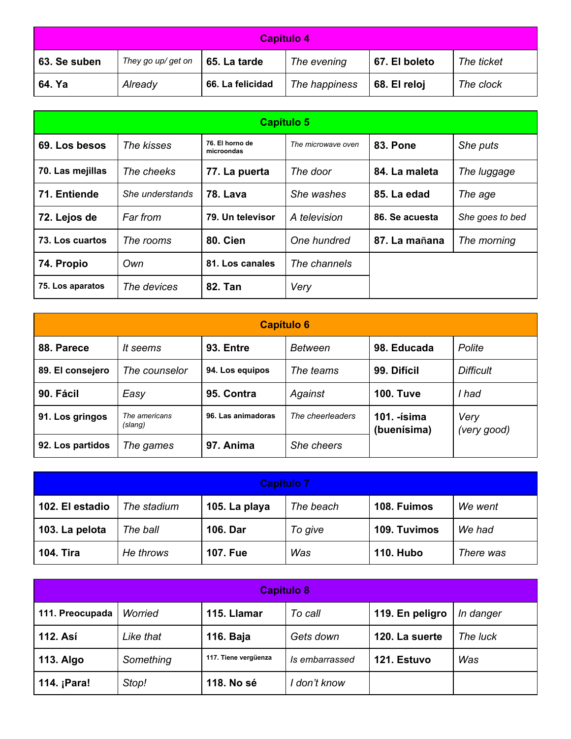| Capítulo 4                                                                                       |         |                  |               |              |           |  |  |
|--------------------------------------------------------------------------------------------------|---------|------------------|---------------|--------------|-----------|--|--|
| They go up/ get on<br>63. Se suben<br>67. El boleto<br>65. La tarde<br>The ticket<br>The evening |         |                  |               |              |           |  |  |
| 64. Ya                                                                                           | Already | 66. La felicidad | The happiness | 68. El reloj | The clock |  |  |

| Capítulo 5       |                 |                               |                    |                 |                 |  |  |  |
|------------------|-----------------|-------------------------------|--------------------|-----------------|-----------------|--|--|--|
| 69. Los besos    | The kisses      | 76. El horno de<br>microondas | The microwave oven | <b>83. Pone</b> | She puts        |  |  |  |
| 70. Las mejillas | The cheeks      | 77. La puerta                 | The door           | 84. La maleta   | The luggage     |  |  |  |
| 71. Entiende     | She understands | <b>78. Lava</b>               | She washes         | 85. La edad     | The age         |  |  |  |
| 72. Lejos de     | Far from        | 79. Un televisor              | A television       | 86. Se acuesta  | She goes to bed |  |  |  |
| 73. Los cuartos  | The rooms       | <b>80. Cien</b>               | One hundred        | 87. La mañana   | The morning     |  |  |  |
| 74. Propio       | Own             | 81. Los canales               | The channels       |                 |                 |  |  |  |
| 75. Los aparatos | The devices     | <b>82. Tan</b>                | Very               |                 |                 |  |  |  |

| <b>Capítulo 6</b> |                          |                    |                  |                            |                     |  |  |  |
|-------------------|--------------------------|--------------------|------------------|----------------------------|---------------------|--|--|--|
| 88. Parece        | It seems                 | 93. Entre          | <b>Between</b>   | 98. Educada                | Polite              |  |  |  |
| 89. El consejero  | The counselor            | 94. Los equipos    | The teams        | 99. Difícil                | <b>Difficult</b>    |  |  |  |
| 90. Fácil         | Easy                     | 95. Contra         | Against          | <b>100. Tuve</b>           | I had               |  |  |  |
| 91. Los gringos   | The americans<br>(slang) | 96. Las animadoras | The cheerleaders | 101. -ísima<br>(buenísima) | Very<br>(very good) |  |  |  |
| 92. Los partidos  | The games                | 97. Anima          | She cheers       |                            |                     |  |  |  |

| <b>Capítulo 7</b> |             |                 |           |                  |           |  |  |  |
|-------------------|-------------|-----------------|-----------|------------------|-----------|--|--|--|
| 102. El estadio   | The stadium | 105. La playa   | The beach | 108. Fuimos      | We went   |  |  |  |
| 103. La pelota    | The ball    | 106. Dar        | To give   | 109. Tuvimos     | We had    |  |  |  |
| <b>104. Tira</b>  | He throws   | <b>107. Fue</b> | Was       | <b>110. Hubo</b> | There was |  |  |  |

| Capítulo 8      |           |                      |                |                 |           |  |  |  |
|-----------------|-----------|----------------------|----------------|-----------------|-----------|--|--|--|
| 111. Preocupada | Worried   | 115. Llamar          | To call        | 119. En peligro | In danger |  |  |  |
| <b>112. Así</b> | Like that | 116. Baja            | Gets down      | 120. La suerte  | The luck  |  |  |  |
| 113. Algo       | Something | 117. Tiene vergüenza | Is embarrassed | 121. Estuvo     | Was       |  |  |  |
| 114. ¡Para!     | Stop!     | 118. No sé           | I don't know   |                 |           |  |  |  |